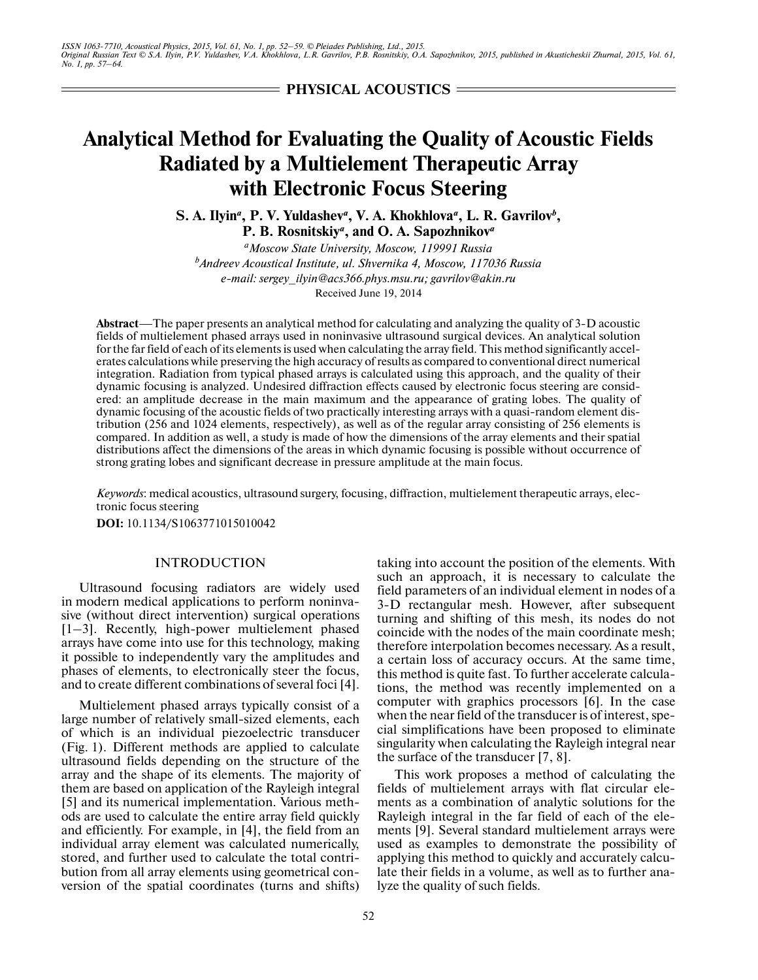*ISSN 1063-7710, Acoustical Physics, 2015, Vol. 61, No. 1, pp. 52–59. © Pleiades Publishing, Ltd., 2015. Original Russian Text © S.A. Ilyin, P.V. Yuldashev, V.A. Khokhlova, L.R. Gavrilov, P.B. Rosnitskiy, O.A. Sapozhnikov, 2015, published in Akusticheskii Zhurnal, 2015, Vol. 61, No. 1, pp. 57–64.*

**PHYSICAL ACOUSTICS**

# **Analytical Method for Evaluating the Quality of Acoustic Fields Radiated by a Multielement Therapeutic Array with Electronic Focus Steering**

S. A. Ilyin<sup>a</sup>, P. V. Yuldashev<sup>a</sup>, V. A. Khokhlova<sup>a</sup>, L. R. Gavrilov<sup>b</sup>, **P. B. Rosnitskiy***<sup>a</sup>* **, and O. A. Sapozhnikov***<sup>a</sup>*

*a Moscow State University, Moscow, 119991 Russia b Andreev Acoustical Institute, ul. Shvernika 4, Moscow, 117036 Russia e-mail: sergey\_ilyin@acs366.phys.msu.ru; gavrilov@akin.ru* Received June 19, 2014

**Abstract**—The paper presents an analytical method for calculating and analyzing the quality of 3-D acoustic fields of multielement phased arrays used in noninvasive ultrasound surgical devices. An analytical solution for the far field of each of its elements is used when calculating the array field. This method significantly accel erates calculations while preserving the high accuracy of results as compared to conventional direct numerical integration. Radiation from typical phased arrays is calculated using this approach, and the quality of their dynamic focusing is analyzed. Undesired diffraction effects caused by electronic focus steering are consid ered: an amplitude decrease in the main maximum and the appearance of grating lobes. The quality of dynamic focusing of the acoustic fields of two practically interesting arrays with a quasi-random element dis tribution (256 and 1024 elements, respectively), as well as of the regular array consisting of 256 elements is compared. In addition as well, a study is made of how the dimensions of the array elements and their spatial distributions affect the dimensions of the areas in which dynamic focusing is possible without occurrence of strong grating lobes and significant decrease in pressure amplitude at the main focus.

*Keywords*: medical acoustics, ultrasound surgery, focusing, diffraction, multielement therapeutic arrays, elec tronic focus steering

**DOI:** 10.1134/S1063771015010042

# INTRODUCTION

Ultrasound focusing radiators are widely used in modern medical applications to perform noninva sive (without direct intervention) surgical operations [1–3]. Recently, high-power multielement phased arrays have come into use for this technology, making it possible to independently vary the amplitudes and phases of elements, to electronically steer the focus, and to create different combinations of several foci [4].

Multielement phased arrays typically consist of a large number of relatively small-sized elements, each of which is an individual piezoelectric transducer (Fig. 1). Different methods are applied to calculate ultrasound fields depending on the structure of the array and the shape of its elements. The majority of them are based on application of the Rayleigh integral [5] and its numerical implementation. Various meth ods are used to calculate the entire array field quickly and efficiently. For example, in [4], the field from an individual array element was calculated numerically, stored, and further used to calculate the total contri bution from all array elements using geometrical con version of the spatial coordinates (turns and shifts) taking into account the position of the elements. With such an approach, it is necessary to calculate the field parameters of an individual element in nodes of a 3-D rectangular mesh. However, after subsequent turning and shifting of this mesh, its nodes do not coincide with the nodes of the main coordinate mesh; therefore interpolation becomes necessary. As a result, a certain loss of accuracy occurs. At the same time, this method is quite fast. To further accelerate calcula tions, the method was recently implemented on a computer with graphics processors [6]. In the case when the near field of the transducer is of interest, spe cial simplifications have been proposed to eliminate singularity when calculating the Rayleigh integral near the surface of the transducer [7, 8].

This work proposes a method of calculating the fields of multielement arrays with flat circular ele ments as a combination of analytic solutions for the Rayleigh integral in the far field of each of the ele ments [9]. Several standard multielement arrays were used as examples to demonstrate the possibility of applying this method to quickly and accurately calcu late their fields in a volume, as well as to further ana lyze the quality of such fields.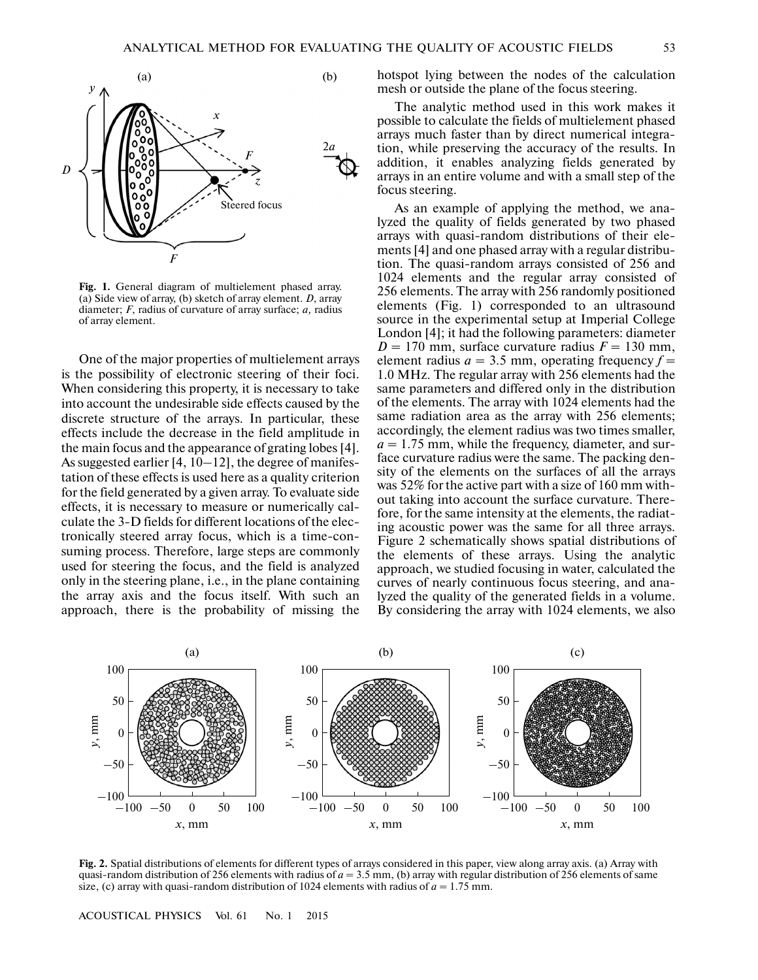

**Fig. 1.** General diagram of multielement phased array. (a) Side view of array, (b) sketch of array element. *D*, array diameter; *F*, radius of curvature of array surface; *a,* radius of array element.

One of the major properties of multielement arrays is the possibility of electronic steering of their foci. When considering this property, it is necessary to take into account the undesirable side effects caused by the discrete structure of the arrays. In particular, these effects include the decrease in the field amplitude in the main focus and the appearance of grating lobes [4]. As suggested earlier [4, 10–12], the degree of manifes tation of these effects is used here as a quality criterion for the field generated by a given array. To evaluate side effects, it is necessary to measure or numerically cal culate the 3-D fields for different locations of the elec tronically steered array focus, which is a time-con suming process. Therefore, large steps are commonly used for steering the focus, and the field is analyzed only in the steering plane, i.e., in the plane containing the array axis and the focus itself. With such an approach, there is the probability of missing the hotspot lying between the nodes of the calculation mesh or outside the plane of the focus steering.

The analytic method used in this work makes it possible to calculate the fields of multielement phased arrays much faster than by direct numerical integra tion, while preserving the accuracy of the results. In addition, it enables analyzing fields generated by arrays in an entire volume and with a small step of the focus steering.

As an example of applying the method, we ana lyzed the quality of fields generated by two phased arrays with quasi-random distributions of their ele ments [4] and one phased array with a regular distribu tion. The quasi-random arrays consisted of 256 and 1024 elements and the regular array consisted of 256 elements. The array with 256 randomly positioned elements (Fig. 1) corresponded to an ultrasound source in the experimental setup at Imperial College London [4]; it had the following parameters: diameter  $D = 170$  mm, surface curvature radius  $F = 130$  mm, element radius  $a = 3.5$  mm, operating frequency  $f =$ 1.0 MHz. The regular array with 256 elements had the same parameters and differed only in the distribution of the elements. The array with 1024 elements had the same radiation area as the array with 256 elements; accordingly, the element radius was two times smaller,  $a = 1.75$  mm, while the frequency, diameter, and surface curvature radius were the same. The packing den sity of the elements on the surfaces of all the arrays was 52% for the active part with a size of 160 mm with out taking into account the surface curvature. Therefore, for the same intensity at the elements, the radiat ing acoustic power was the same for all three arrays. Figure 2 schematically shows spatial distributions of the elements of these arrays. Using the analytic approach, we studied focusing in water, calculated the curves of nearly continuous focus steering, and ana lyzed the quality of the generated fields in a volume. By considering the array with 1024 elements, we also



**Fig. 2.** Spatial distributions of elements for different types of arrays considered in this paper, view along array axis. (a) Array with quasi-random distribution of 256 elements with radius of  $a = 3.5$  mm, (b) array with regular distribution of 256 elements of same size, (c) array with quasi-random distribution of 1024 elements with radius of  $a = 1.75$  mm.

ACOUSTICAL PHYSICS Vol. 61 No. 1 2015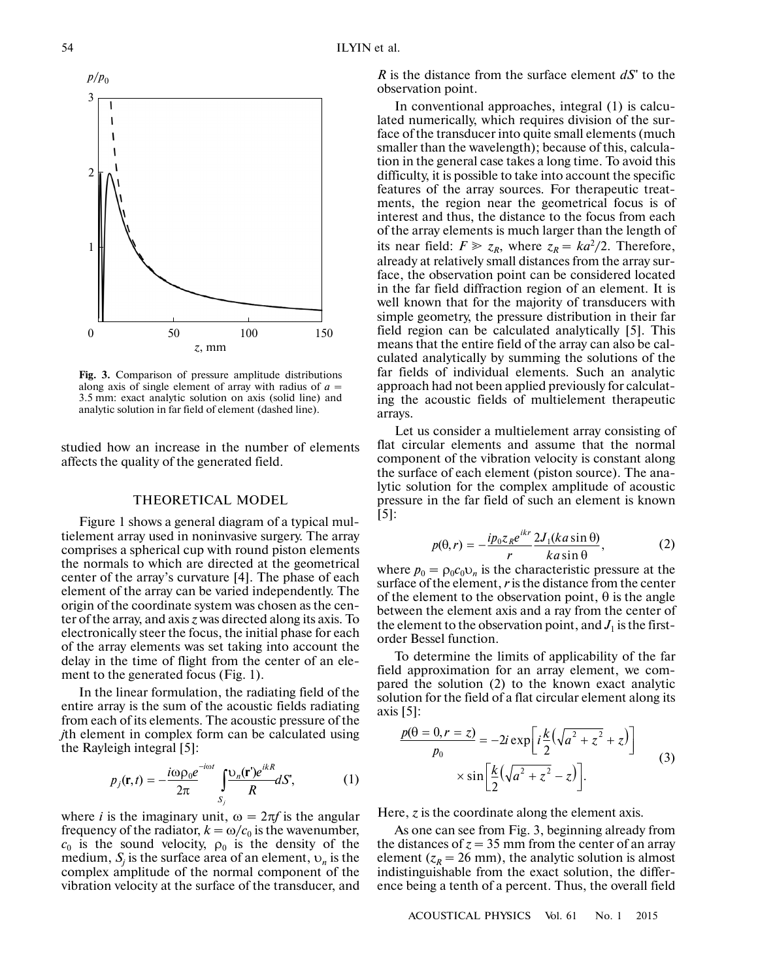

**Fig. 3.** Comparison of pressure amplitude distributions along axis of single element of array with radius of  $a =$ 3.5 mm: exact analytic solution on axis (solid line) and analytic solution in far field of element (dashed line).

studied how an increase in the number of elements affects the quality of the generated field.

### THEORETICAL MODEL

Figure 1 shows a general diagram of a typical mul tielement array used in noninvasive surgery. The array comprises a spherical cup with round piston elements the normals to which are directed at the geometrical center of the array's curvature [4]. The phase of each element of the array can be varied independently. The origin of the coordinate system was chosen as the cen ter of the array, and axis *z* was directed along its axis. To electronically steer the focus, the initial phase for each of the array elements was set taking into account the delay in the time of flight from the center of an ele ment to the generated focus (Fig. 1).

In the linear formulation, the radiating field of the entire array is the sum of the acoustic fields radiating from each of its elements. The acoustic pressure of the *i*th element in complex form can be calculated using<br>*j*th element in complex form can be calculated using<br>the Rayleigh integral [5]: the Rayleigh integral [5]:

$$
p_j(\mathbf{r},t) = -\frac{i\omega \rho_0 e^{-i\omega t}}{2\pi} \int_{S_j} \frac{\omega_n(\mathbf{r}) e^{ikR}}{R} dS', \tag{1}
$$

where *i* is the imaginary unit,  $\omega = 2\pi f$  is the angular frequency of the radiator,  $k = \omega/c_0$  is the wavenumber,  $c_0$  is the sound velocity,  $\rho_0$  is the density of the medium, *Sj* is the surface area of an element, υ*n* is the complex amplitude of the normal component of the vibration velocity at the surface of the transducer, and

*R* is the distance from the surface element *dS*' to the observation point.

In conventional approaches, integral (1) is calcu lated numerically, which requires division of the sur face of the transducer into quite small elements (much smaller than the wavelength); because of this, calcula tion in the general case takes a long time. To avoid this difficulty, it is possible to take into account the specific features of the array sources. For therapeutic treat ments, the region near the geometrical focus is of interest and thus, the distance to the focus from each of the array elements is much larger than the length of its near field:  $F \ge z_R$ , where  $z_R = ka^2/2$ . Therefore, already at relatively small distances from the array sur face, the observation point can be considered located in the far field diffraction region of an element. It is well known that for the majority of transducers with simple geometry, the pressure distribution in their far field region can be calculated analytically [5]. This means that the entire field of the array can also be cal culated analytically by summing the solutions of the far fields of individual elements. Such an analytic approach had not been applied previously for calculat ing the acoustic fields of multielement therapeutic arrays.

Let us consider a multielement array consisting of flat circular elements and assume that the normal component of the vibration velocity is constant along the surface of each element (piston source). The ana lytic solution for the complex amplitude of acoustic pressure in the far field of such an element is known [5]:

$$
p(\theta, r) = -\frac{ip_0 z_R e^{ikr}}{r} \frac{2J_1(ka \sin \theta)}{ka \sin \theta},
$$
 (2)

where  $p_0 = \rho_0 c_0 v_n$  is the characteristic pressure at the surface of the element, *r* is the distance from the center of the element to the observation point,  $\theta$  is the angle between the element axis and a ray from the center of the element to the observation point, and  $J_1$  is the firstorder Bessel function.

To determine the limits of applicability of the far field approximation for an array element, we com pared the solution (2) to the known exact analytic solution for the field of a flat circular element along its axis [5]:

$$
\frac{p(\theta = 0, r = z)}{p_0} = -2i \exp\left[i\frac{k}{2}(\sqrt{a^2 + z^2} + z)\right]
$$

$$
\times \sin\left[\frac{k}{2}(\sqrt{a^2 + z^2} - z)\right].
$$
 (3)

Here, *z* is the coordinate along the element axis.

As one can see from Fig. 3, beginning already from the distances of  $z = 35$  mm from the center of an array element ( $z_R$  = 26 mm), the analytic solution is almost indistinguishable from the exact solution, the differ ence being a tenth of a percent. Thus, the overall field

ACOUSTICAL PHYSICS Vol. 61 No. 1 2015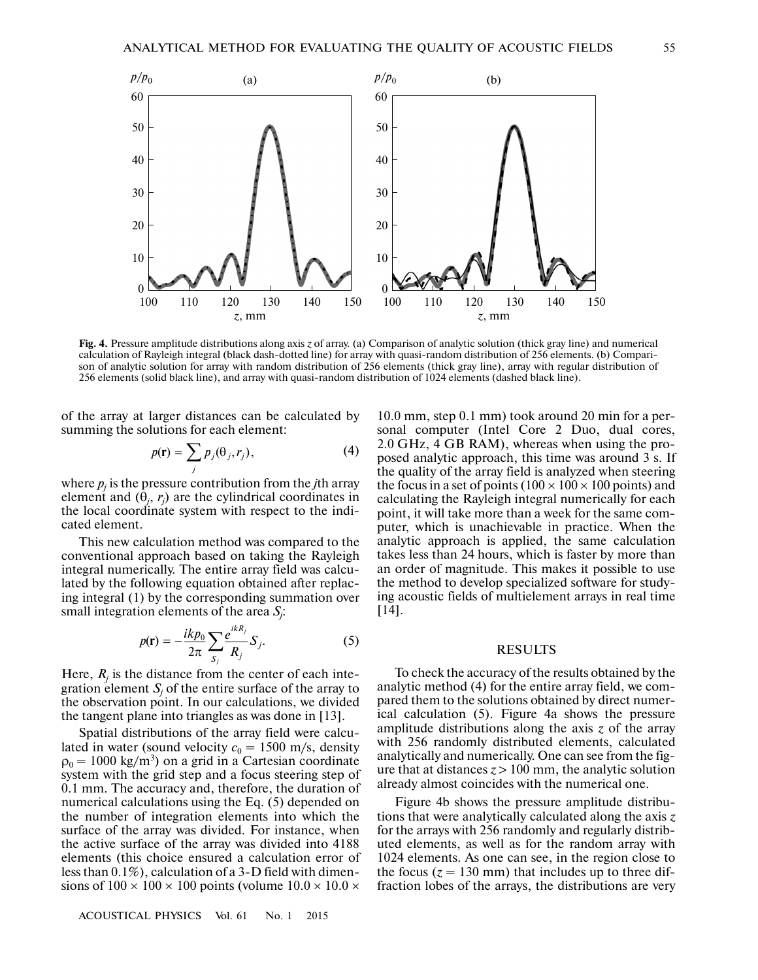

**Fig. 4.** Pressure amplitude distributions along axis *z* of array. (a) Comparison of analytic solution (thick gray line) and numerical calculation of Rayleigh integral (black dash-dotted line) for array with quasi-random distribution of 256 elements. (b) Compari son of analytic solution for array with random distribution of 256 elements (thick gray line), array with regular distribution of 256 elements (solid black line), and array with quasi-random distribution of 1024 elements (dashed black line).

of the array at larger distances can be calculated by summing the solutions for each element:

$$
p(\mathbf{r}) = \sum_{j} p_j(\theta_j, r_j),
$$
 (4)

where  $p_j$  is the pressure contribution from the *j*th array element and  $(\theta_j, r_j)$  are the cylindrical coordinates in the local coordinate system with respect to the indi cated element.

This new calculation method was compared to the conventional approach based on taking the Rayleigh integral numerically. The entire array field was calcu lated by the following equation obtained after replac ing integral (1) by the corresponding summation over small integration elements of the area *Sj* :

$$
p(\mathbf{r}) = -\frac{i k p_0}{2\pi} \sum_{S_j} \frac{e^{ikR_j}}{R_j} S_j.
$$
 (5)

Here,  $R_j$  is the distance from the center of each integration element  $S_j$  of the entire surface of the array to the observation point. In our calculations, we divided the tangent plane into triangles as was done in [13].

Spatial distributions of the array field were calcu lated in water (sound velocity  $c_0 = 1500$  m/s, density  $\rho_0 = 1000 \text{ kg/m}^3$ ) on a grid in a Cartesian coordinate system with the grid step and a focus steering step of 0.1 mm. The accuracy and, therefore, the duration of numerical calculations using the Eq. (5) depended on the number of integration elements into which the surface of the array was divided. For instance, when the active surface of the array was divided into 4188 elements (this choice ensured a calculation error of less than 0.1%), calculation of a 3-D field with dimen sions of  $100 \times 100 \times 100$  points (volume  $10.0 \times 10.0 \times$ 

10.0 mm, step 0.1 mm) took around 20 min for a per sonal computer (Intel Core 2 Duo, dual cores, 2.0 GHz, 4 GB RAM), whereas when using the pro posed analytic approach, this time was around 3 s. If the quality of the array field is analyzed when steering the focus in a set of points ( $100 \times 100 \times 100$  points) and calculating the Rayleigh integral numerically for each point, it will take more than a week for the same com puter, which is unachievable in practice. When the analytic approach is applied, the same calculation takes less than 24 hours, which is faster by more than an order of magnitude. This makes it possible to use the method to develop specialized software for study ing acoustic fields of multielement arrays in real time [14].

#### RESULTS

To check the accuracy of the results obtained by the analytic method (4) for the entire array field, we com pared them to the solutions obtained by direct numer ical calculation (5). Figure 4a shows the pressure amplitude distributions along the axis *z* of the array with 256 randomly distributed elements, calculated analytically and numerically. One can see from the fig ure that at distances  $z > 100$  mm, the analytic solution already almost coincides with the numerical one.

Figure 4b shows the pressure amplitude distribu tions that were analytically calculated along the axis *z* for the arrays with 256 randomly and regularly distrib uted elements, as well as for the random array with 1024 elements. As one can see, in the region close to the focus  $(z = 130 \text{ mm})$  that includes up to three diffraction lobes of the arrays, the distributions are very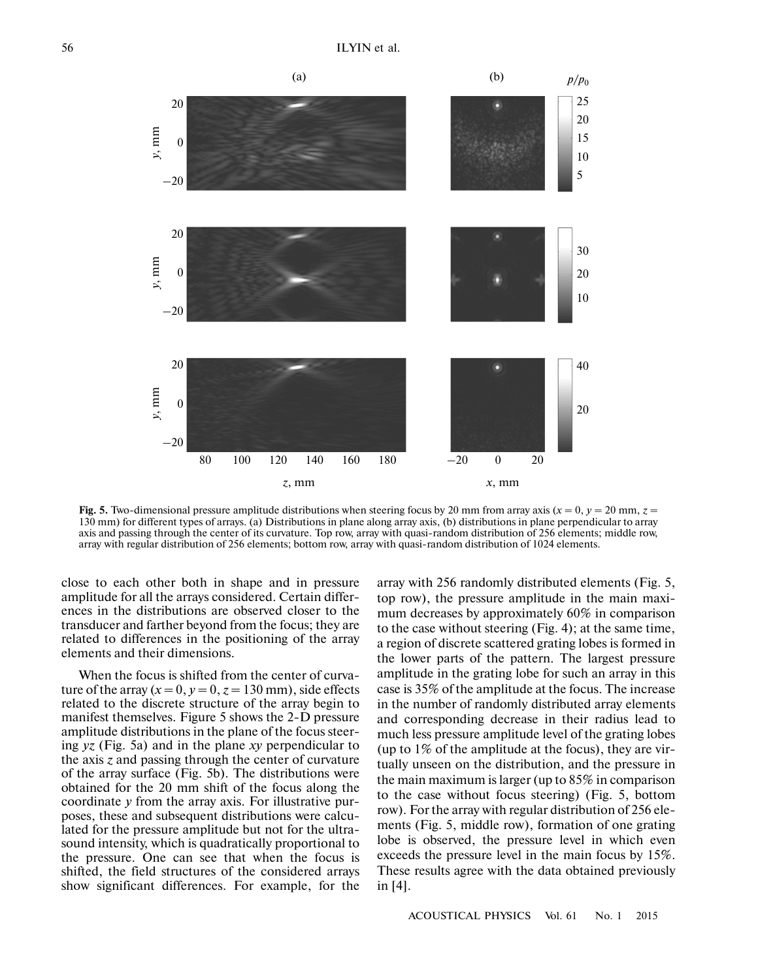

Fig. 5. Two-dimensional pressure amplitude distributions when steering focus by 20 mm from array axis ( $x = 0$ ,  $y = 20$  mm,  $z = 1$ ) 130 mm) for different types of arrays. (a) Distributions in plane along array axis, (b) distributions in plane perpendicular to array axis and passing through the center of its curvature. Top row, array with quasi-random distribution of 256 elements; middle row, array with regular distribution of 256 elements; bottom row, array with quasi-random distribution of 1024 elements.

close to each other both in shape and in pressure amplitude for all the arrays considered. Certain differ ences in the distributions are observed closer to the transducer and farther beyond from the focus; they are related to differences in the positioning of the array elements and their dimensions.

When the focus is shifted from the center of curva ture of the array  $(x = 0, y = 0, z = 130$  mm), side effects related to the discrete structure of the array begin to manifest themselves. Figure 5 shows the 2-D pressure amplitude distributions in the plane of the focus steer ing *yz* (Fig. 5a) and in the plane *xy* perpendicular to the axis *z* and passing through the center of curvature of the array surface (Fig. 5b). The distributions were obtained for the 20 mm shift of the focus along the coordinate *y* from the array axis. For illustrative pur poses, these and subsequent distributions were calcu lated for the pressure amplitude but not for the ultra sound intensity, which is quadratically proportional to the pressure. One can see that when the focus is shifted, the field structures of the considered arrays show significant differences. For example, for the array with 256 randomly distributed elements (Fig. 5, top row), the pressure amplitude in the main maxi mum decreases by approximately 60% in comparison to the case without steering (Fig. 4); at the same time, a region of discrete scattered grating lobes is formed in the lower parts of the pattern. The largest pressure amplitude in the grating lobe for such an array in this case is 35% of the amplitude at the focus. The increase in the number of randomly distributed array elements and corresponding decrease in their radius lead to much less pressure amplitude level of the grating lobes (up to 1% of the amplitude at the focus), they are vir tually unseen on the distribution, and the pressure in the main maximum is larger (up to 85% in comparison to the case without focus steering) (Fig. 5, bottom row). For the array with regular distribution of 256 ele ments (Fig. 5, middle row), formation of one grating lobe is observed, the pressure level in which even exceeds the pressure level in the main focus by 15%. These results agree with the data obtained previously in [4].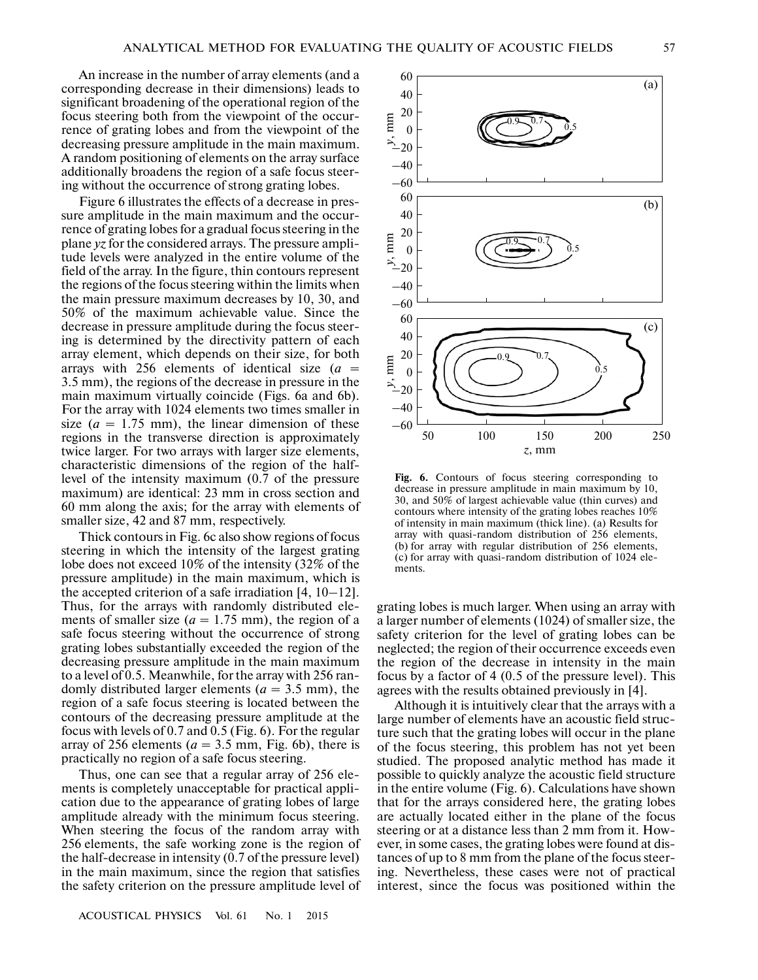An increase in the number of array elements (and a corresponding decrease in their dimensions) leads to significant broadening of the operational region of the focus steering both from the viewpoint of the occur rence of grating lobes and from the viewpoint of the decreasing pressure amplitude in the main maximum. A random positioning of elements on the array surface additionally broadens the region of a safe focus steer ing without the occurrence of strong grating lobes.

Figure 6 illustrates the effects of a decrease in pres sure amplitude in the main maximum and the occur rence of grating lobes for a gradual focus steering in the plane *yz* for the considered arrays. The pressure ampli tude levels were analyzed in the entire volume of the field of the array. In the figure, thin contours represent the regions of the focus steering within the limits when the main pressure maximum decreases by 10, 30, and 50% of the maximum achievable value. Since the decrease in pressure amplitude during the focus steer ing is determined by the directivity pattern of each array element, which depends on their size, for both arrays with 256 elements of identical size  $(a =$ 3.5 mm), the regions of the decrease in pressure in the main maximum virtually coincide (Figs. 6a and 6b). For the array with 1024 elements two times smaller in size  $(a = 1.75$  mm), the linear dimension of these regions in the transverse direction is approximately twice larger. For two arrays with larger size elements, characteristic dimensions of the region of the half level of the intensity maximum (0.7 of the pressure maximum) are identical: 23 mm in cross section and 60 mm along the axis; for the array with elements of smaller size, 42 and 87 mm, respectively.

Thick contours in Fig. 6c also show regions of focus steering in which the intensity of the largest grating lobe does not exceed 10% of the intensity (32% of the pressure amplitude) in the main maximum, which is the accepted criterion of a safe irradiation  $[4, 10-12]$ . Thus, for the arrays with randomly distributed ele ments of smaller size  $(a = 1.75$  mm), the region of a safe focus steering without the occurrence of strong grating lobes substantially exceeded the region of the decreasing pressure amplitude in the main maximum to a level of 0.5. Meanwhile, for the array with 256 ran domly distributed larger elements ( $a = 3.5$  mm), the region of a safe focus steering is located between the contours of the decreasing pressure amplitude at the focus with levels of 0.7 and 0.5 (Fig. 6). For the regular array of 256 elements ( $a = 3.5$  mm, Fig. 6b), there is practically no region of a safe focus steering.

Thus, one can see that a regular array of 256 ele ments is completely unacceptable for practical appli cation due to the appearance of grating lobes of large amplitude already with the minimum focus steering. When steering the focus of the random array with 256 elements, the safe working zone is the region of the half-decrease in intensity (0.7 of the pressure level) in the main maximum, since the region that satisfies the safety criterion on the pressure amplitude level of



**Fig. 6.** Contours of focus steering corresponding to decrease in pressure amplitude in main maximum by 10, 30, and 50% of largest achievable value (thin curves) and contours where intensity of the grating lobes reaches 10% of intensity in main maximum (thick line). (a) Results for array with quasi-random distribution of 256 elements, (b) for array with regular distribution of 256 elements, (c) for array with quasi-random distribution of 1024 ele ments.

grating lobes is much larger. When using an array with a larger number of elements (1024) of smaller size, the safety criterion for the level of grating lobes can be neglected; the region of their occurrence exceeds even the region of the decrease in intensity in the main focus by a factor of 4 (0.5 of the pressure level). This agrees with the results obtained previously in [4].

Although it is intuitively clear that the arrays with a large number of elements have an acoustic field struc ture such that the grating lobes will occur in the plane of the focus steering, this problem has not yet been studied. The proposed analytic method has made it possible to quickly analyze the acoustic field structure in the entire volume (Fig. 6). Calculations have shown that for the arrays considered here, the grating lobes are actually located either in the plane of the focus steering or at a distance less than 2 mm from it. How ever, in some cases, the grating lobes were found at dis tances of up to 8 mm from the plane of the focus steer ing. Nevertheless, these cases were not of practical interest, since the focus was positioned within the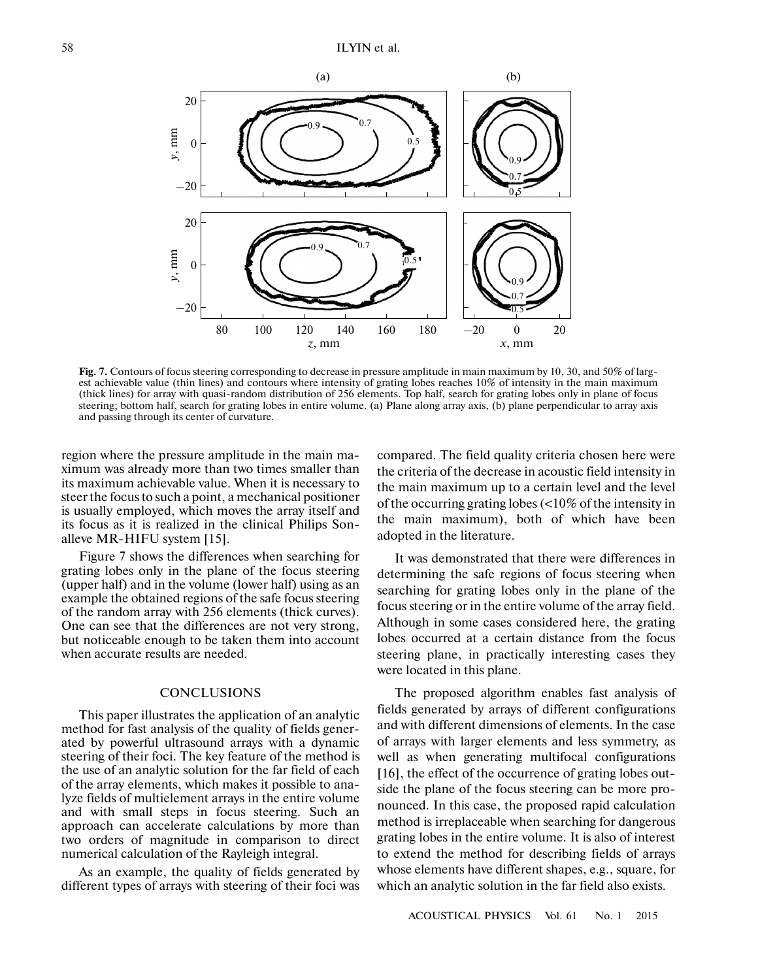

**Fig. 7.** Contours of focus steering corresponding to decrease in pressure amplitude in main maximum by 10, 30, and 50% of larg est achievable value (thin lines) and contours where intensity of grating lobes reaches 10% of intensity in the main maximum (thick lines) for array with quasi-random distribution of 256 elements. Top half, search for grating lobes only in plane of focus steering; bottom half, search for grating lobes in entire volume. (a) Plane along array axis, (b) plane perpendicular to array axis and passing through its center of curvature.

region where the pressure amplitude in the main ma ximum was already more than two times smaller than its maximum achievable value. When it is necessary to steer the focus to such a point, a mechanical positioner is usually employed, which moves the array itself and its focus as it is realized in the clinical Philips Son alleve MR-HIFU system [15].

Figure 7 shows the differences when searching for grating lobes only in the plane of the focus steering (upper half) and in the volume (lower half) using as an example the obtained regions of the safe focus steering of the random array with 256 elements (thick curves). One can see that the differences are not very strong, but noticeable enough to be taken them into account when accurate results are needed.

# **CONCLUSIONS**

This paper illustrates the application of an analytic method for fast analysis of the quality of fields gener ated by powerful ultrasound arrays with a dynamic steering of their foci. The key feature of the method is the use of an analytic solution for the far field of each of the array elements, which makes it possible to ana lyze fields of multielement arrays in the entire volume and with small steps in focus steering. Such an approach can accelerate calculations by more than two orders of magnitude in comparison to direct numerical calculation of the Rayleigh integral.

As an example, the quality of fields generated by different types of arrays with steering of their foci was compared. The field quality criteria chosen here were the criteria of the decrease in acoustic field intensity in the main maximum up to a certain level and the level of the occurring grating lobes (<10% of the intensity in the main maximum), both of which have been adopted in the literature.

It was demonstrated that there were differences in determining the safe regions of focus steering when searching for grating lobes only in the plane of the focus steering or in the entire volume of the array field. Although in some cases considered here, the grating lobes occurred at a certain distance from the focus steering plane, in practically interesting cases they were located in this plane.

The proposed algorithm enables fast analysis of fields generated by arrays of different configurations and with different dimensions of elements. In the case of arrays with larger elements and less symmetry, as well as when generating multifocal configurations [16], the effect of the occurrence of grating lobes out side the plane of the focus steering can be more pro nounced. In this case, the proposed rapid calculation method is irreplaceable when searching for dangerous grating lobes in the entire volume. It is also of interest to extend the method for describing fields of arrays whose elements have different shapes, e.g., square, for which an analytic solution in the far field also exists.